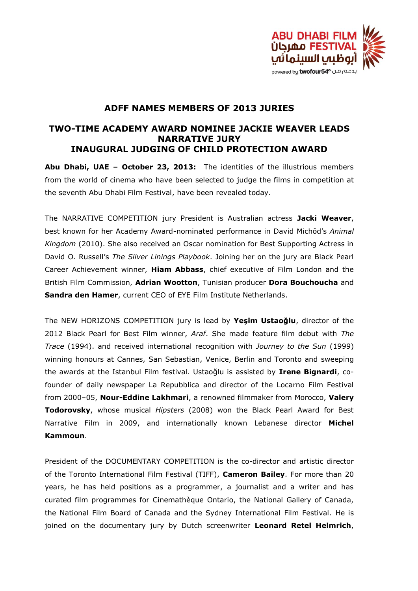

## **ADFF NAMES MEMBERS OF 2013 JURIES**

## **TWO-TIME ACADEMY AWARD NOMINEE JACKIE WEAVER LEADS NARRATIVE JURY INAUGURAL JUDGING OF CHILD PROTECTION AWARD**

**Abu Dhabi, UAE – October 23, 2013:** The identities of the illustrious members from the world of cinema who have been selected to judge the films in competition at the seventh Abu Dhabi Film Festival, have been revealed today.

The NARRATIVE COMPETITION jury President is Australian actress **Jacki Weaver**, best known for her Academy Award-nominated performance in David Michôd's *Animal Kingdom* (2010). She also received an Oscar nomination for Best Supporting Actress in David O. Russell's *The Silver Linings Playbook*. Joining her on the jury are Black Pearl Career Achievement winner, **Hiam Abbass**, chief executive of Film London and the British Film Commission, **Adrian Wootton**, Tunisian producer **Dora Bouchoucha** and **Sandra den Hamer**, current CEO of EYE Film Institute Netherlands.

The NEW HORIZONS COMPETITION jury is lead by **Yeşim Ustaoğlu**, director of the 2012 Black Pearl for Best Film winner, *Araf*. She made feature film debut with *The Trace* (1994). and received international recognition with *Journey to the Sun* (1999) winning honours at Cannes, San Sebastian, Venice, Berlin and Toronto and sweeping the awards at the Istanbul Film festival. Ustaoğlu is assisted by **Irene Bignardi**, cofounder of daily newspaper La Repubblica and director of the Locarno Film Festival from 2000–05, **Nour-Eddine Lakhmari**, a renowned filmmaker from Morocco, **Valery Todorovsky**, whose musical *Hipsters* (2008) won the Black Pearl Award for Best Narrative Film in 2009, and internationally known Lebanese director **Michel Kammoun**.

President of the DOCUMENTARY COMPETITION is the co-director and artistic director of the Toronto International Film Festival (TIFF), **Cameron Bailey**. For more than 20 years, he has held positions as a programmer, a journalist and a writer and has curated film programmes for Cinemathèque Ontario, the National Gallery of Canada, the National Film Board of Canada and the Sydney International Film Festival. He is joined on the documentary jury by Dutch screenwriter **Leonard Retel Helmrich**,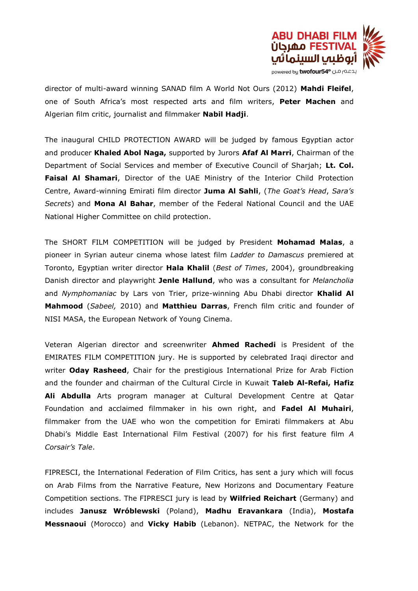

director of multi-award winning SANAD film A World Not Ours (2012) **Mahdi Fleifel**, one of South Africa's most respected arts and film writers, **Peter Machen** and Algerian film critic, journalist and filmmaker **Nabil Hadji**.

The inaugural CHILD PROTECTION AWARD will be judged by famous Egyptian actor and producer **Khaled Abol Naga,** supported by Jurors **Afaf Al Marri**, Chairman of the Department of Social Services and member of Executive Council of Sharjah; **Lt. Col. Faisal Al Shamari**, Director of the UAE Ministry of the Interior Child Protection Centre, Award-winning Emirati film director **Juma Al Sahli**, (*The Goat's Head*, *Sara's Secrets*) and **Mona Al Bahar**, member of the Federal National Council and the UAE National Higher Committee on child protection.

The SHORT FILM COMPETITION will be judged by President **Mohamad Malas**, a pioneer in Syrian auteur cinema whose latest film *Ladder to Damascus* premiered at Toronto, Egyptian writer director **Hala Khalil** (*Best of Times*, 2004), groundbreaking Danish director and playwright **Jenle Hallund**, who was a consultant for *Melancholia* and *Nymphomaniac* by Lars von Trier, prize-winning Abu Dhabi director **Khalid Al Mahmood** (*Sabeel,* 2010) and **Matthieu Darras**, French film critic and founder of NISI MASA, the European Network of Young Cinema.

Veteran Algerian director and screenwriter **Ahmed Rachedi** is President of the EMIRATES FILM COMPETITION jury. He is supported by celebrated Iraqi director and writer **Oday Rasheed**, Chair for the prestigious International Prize for Arab Fiction and the founder and chairman of the Cultural Circle in Kuwait **Taleb Al-Refai, Hafiz Ali Abdulla** Arts program manager at Cultural Development Centre at Qatar Foundation and acclaimed filmmaker in his own right, and **Fadel Al Muhairi**, filmmaker from the UAE who won the competition for Emirati filmmakers at Abu Dhabi's Middle East International Film Festival (2007) for his first feature film *A Corsair's Tale*.

FIPRESCI, the International Federation of Film Critics, has sent a jury which will focus on Arab Films from the Narrative Feature, New Horizons and Documentary Feature Competition sections. The FIPRESCI jury is lead by **Wilfried Reichart** (Germany) and includes **Janusz Wróblewski** (Poland), **Madhu Eravankara** (India), **Mostafa Messnaoui** (Morocco) and **Vicky Habib** (Lebanon). NETPAC, the Network for the